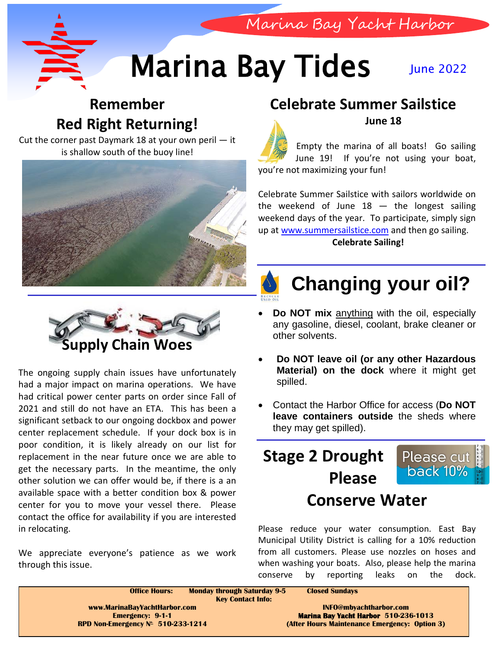

# **Marina Bay Tides** June 2022

## **Remember Red Right Returning!**

Cut the corner past Daymark 18 at your own peril — it is shallow south of the buoy line!



### **Celebrate Summer Sailstice June 18**

Marina Bay Yacht Harbor



Empty the marina of all boats! Go sailing June 19! If you're not using your boat, you're not maximizing your fun!

Celebrate Summer Sailstice with sailors worldwide on the weekend of June  $18 -$  the longest sailing weekend days of the year. To participate, simply sign up at [www.summersailstice.com](http://www.summersailstice.com/) and then go sailing. **Celebrate Sailing!**



# **Supply Chain Woes**

The ongoing supply chain issues have unfortunately had a major impact on marina operations. We have had critical power center parts on order since Fall of 2021 and still do not have an ETA. This has been a significant setback to our ongoing dockbox and power center replacement schedule. If your dock box is in poor condition, it is likely already on our list for replacement in the near future once we are able to get the necessary parts. In the meantime, the only other solution we can offer would be, if there is a an available space with a better condition box & power center for you to move your vessel there. Please contact the office for availability if you are interested in relocating.

We appreciate everyone's patience as we work through this issue.

## **Changing your oil?**

- **Do NOT mix** anything with the oil, especially any gasoline, diesel, coolant, brake cleaner or other solvents.
- **Do NOT leave oil (or any other Hazardous Material) on the dock** where it might get spilled.
- Contact the Harbor Office for access (**Do NOT leave containers outside** the sheds where they may get spilled).

# **Stage 2 Drought Please**



## **Conserve Water**

Please reduce your water consumption. East Bay Municipal Utility District is calling for a 10% reduction from all customers. Please use nozzles on hoses and when washing your boats. Also, please help the marina conserve by reporting leaks on the dock.

| <b>Office Hours:</b>                 | <b>Monday through Saturday 9-5</b><br><b>Closed Sundays</b><br><b>Key Contact Info:</b> |
|--------------------------------------|-----------------------------------------------------------------------------------------|
| www.MarinaBayYachtHarbor.com         | INFO@mbyachtharbor.com                                                                  |
| <b>Emergency: 9-1-1</b>              | <b>Marina Bay Yacht Harbor 510-236-1013</b>                                             |
| RPD Non-Emergency $N^*$ 510-233-1214 | (After Hours Maintenance Emergency: Option 3)                                           |